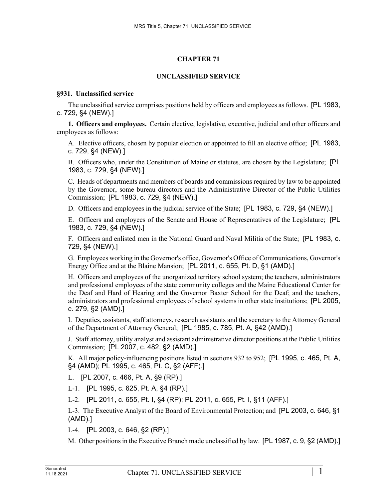# **CHAPTER 71**

# **UNCLASSIFIED SERVICE**

## **§931. Unclassified service**

The unclassified service comprises positions held by officers and employees as follows. [PL 1983, c. 729, §4 (NEW).]

**1. Officers and employees.** Certain elective, legislative, executive, judicial and other officers and employees as follows:

A. Elective officers, chosen by popular election or appointed to fill an elective office; [PL 1983, c. 729, §4 (NEW).]

B. Officers who, under the Constitution of Maine or statutes, are chosen by the Legislature; [PL 1983, c. 729, §4 (NEW).]

C. Heads of departments and members of boards and commissions required by law to be appointed by the Governor, some bureau directors and the Administrative Director of the Public Utilities Commission; [PL 1983, c. 729, §4 (NEW).]

D. Officers and employees in the judicial service of the State; [PL 1983, c. 729, §4 (NEW).]

E. Officers and employees of the Senate and House of Representatives of the Legislature; [PL 1983, c. 729, §4 (NEW).]

F. Officers and enlisted men in the National Guard and Naval Militia of the State; [PL 1983, c. 729, §4 (NEW).]

G. Employees working in the Governor's office, Governor's Office of Communications, Governor's Energy Office and at the Blaine Mansion; [PL 2011, c. 655, Pt. D, §1 (AMD).]

H. Officers and employees of the unorganized territory school system; the teachers, administrators and professional employees of the state community colleges and the Maine Educational Center for the Deaf and Hard of Hearing and the Governor Baxter School for the Deaf; and the teachers, administrators and professional employees of school systems in other state institutions; [PL 2005, c. 279, §2 (AMD).]

I. Deputies, assistants, staff attorneys, research assistants and the secretary to the Attorney General of the Department of Attorney General; [PL 1985, c. 785, Pt. A, §42 (AMD).]

J. Staff attorney, utility analyst and assistant administrative director positions at the Public Utilities Commission; [PL 2007, c. 482, §2 (AMD).]

K. All major policy-influencing positions listed in sections 932 to 952; [PL 1995, c. 465, Pt. A, §4 (AMD); PL 1995, c. 465, Pt. C, §2 (AFF).]

L. [PL 2007, c. 466, Pt. A, §9 (RP).]

L-1. [PL 1995, c. 625, Pt. A, §4 (RP).]

L-2. [PL 2011, c. 655, Pt. I, §4 (RP); PL 2011, c. 655, Pt. I, §11 (AFF).]

L-3. The Executive Analyst of the Board of Environmental Protection; and [PL 2003, c. 646, §1 (AMD).]

L-4. [PL 2003, c. 646, §2 (RP).]

M. Other positions in the Executive Branch made unclassified by law. [PL 1987, c. 9, §2 (AMD).]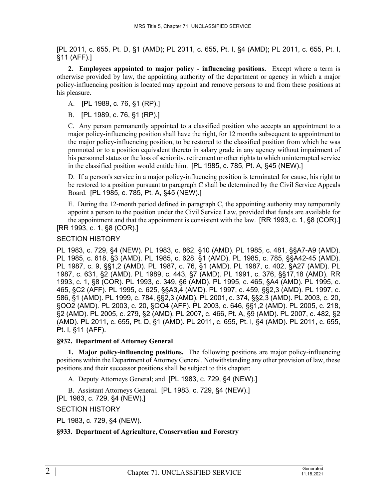[PL 2011, c. 655, Pt. D, §1 (AMD); PL 2011, c. 655, Pt. I, §4 (AMD); PL 2011, c. 655, Pt. I, §11 (AFF).]

**2. Employees appointed to major policy - influencing positions.** Except where a term is otherwise provided by law, the appointing authority of the department or agency in which a major policy-influencing position is located may appoint and remove persons to and from these positions at his pleasure.

A. [PL 1989, c. 76, §1 (RP).]

B. [PL 1989, c. 76, §1 (RP).]

C. Any person permanently appointed to a classified position who accepts an appointment to a major policy-influencing position shall have the right, for 12 months subsequent to appointment to the major policy-influencing position, to be restored to the classified position from which he was promoted or to a position equivalent thereto in salary grade in any agency without impairment of his personnel status or the loss of seniority, retirement or other rights to which uninterrupted service in the classified position would entitle him. [PL 1985, c. 785, Pt. A, §45 (NEW).]

D. If a person's service in a major policy-influencing position is terminated for cause, his right to be restored to a position pursuant to paragraph C shall be determined by the Civil Service Appeals Board. [PL 1985, c. 785, Pt. A, §45 (NEW).]

E. During the 12-month period defined in paragraph C, the appointing authority may temporarily appoint a person to the position under the Civil Service Law, provided that funds are available for the appointment and that the appointment is consistent with the law. [RR 1993, c. 1, §8 (COR).] [RR 1993, c. 1, §8 (COR).]

## SECTION HISTORY

PL 1983, c. 729, §4 (NEW). PL 1983, c. 862, §10 (AMD). PL 1985, c. 481, §§A7-A9 (AMD). PL 1985, c. 618, §3 (AMD). PL 1985, c. 628, §1 (AMD). PL 1985, c. 785, §§A42-45 (AMD). PL 1987, c. 9, §§1,2 (AMD). PL 1987, c. 76, §1 (AMD). PL 1987, c. 402, §A27 (AMD). PL 1987, c. 631, §2 (AMD). PL 1989, c. 443, §7 (AMD). PL 1991, c. 376, §§17,18 (AMD). RR 1993, c. 1, §8 (COR). PL 1993, c. 349, §6 (AMD). PL 1995, c. 465, §A4 (AMD). PL 1995, c. 465, §C2 (AFF). PL 1995, c. 625, §§A3,4 (AMD). PL 1997, c. 459, §§2,3 (AMD). PL 1997, c. 586, §1 (AMD). PL 1999, c. 784, §§2,3 (AMD). PL 2001, c. 374, §§2,3 (AMD). PL 2003, c. 20, §OO2 (AMD). PL 2003, c. 20, §OO4 (AFF). PL 2003, c. 646, §§1,2 (AMD). PL 2005, c. 218, §2 (AMD). PL 2005, c. 279, §2 (AMD). PL 2007, c. 466, Pt. A, §9 (AMD). PL 2007, c. 482, §2 (AMD). PL 2011, c. 655, Pt. D, §1 (AMD). PL 2011, c. 655, Pt. I, §4 (AMD). PL 2011, c. 655, Pt. I, §11 (AFF).

## **§932. Department of Attorney General**

**1. Major policy-influencing positions.** The following positions are major policy-influencing positions within the Department of Attorney General. Notwithstanding any other provision of law, these positions and their successor positions shall be subject to this chapter:

A. Deputy Attorneys General; and [PL 1983, c. 729, §4 (NEW).]

B. Assistant Attorneys General. [PL 1983, c. 729, §4 (NEW).] [PL 1983, c. 729, §4 (NEW).]

SECTION HISTORY

PL 1983, c. 729, §4 (NEW).

## **§933. Department of Agriculture, Conservation and Forestry**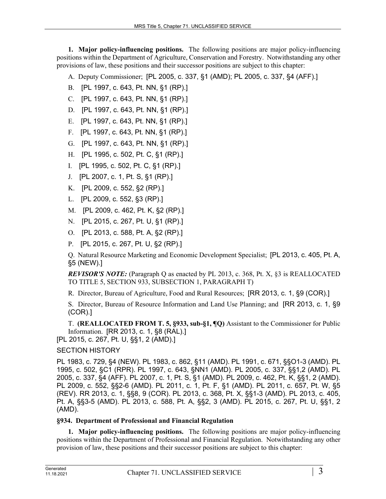**1. Major policy-influencing positions.** The following positions are major policy-influencing positions within the Department of Agriculture, Conservation and Forestry. Notwithstanding any other provisions of law, these positions and their successor positions are subject to this chapter:

A. Deputy Commissioner; [PL 2005, c. 337, §1 (AMD); PL 2005, c. 337, §4 (AFF).]

- B. [PL 1997, c. 643, Pt. NN, §1 (RP).]
- C. [PL 1997, c. 643, Pt. NN, §1 (RP).]
- D. [PL 1997, c. 643, Pt. NN, §1 (RP).]
- E. [PL 1997, c. 643, Pt. NN, §1 (RP).]
- F. [PL 1997, c. 643, Pt. NN, §1 (RP).]
- G. [PL 1997, c. 643, Pt. NN, §1 (RP).]
- H. [PL 1995, c. 502, Pt. C, §1 (RP).]
- I. [PL 1995, c. 502, Pt. C, §1 (RP).]
- J. [PL 2007, c. 1, Pt. S, §1 (RP).]
- K. [PL 2009, c. 552, §2 (RP).]
- L. [PL 2009, c. 552, §3 (RP).]
- M. [PL 2009, c. 462, Pt. K, §2 (RP).]
- N. [PL 2015, c. 267, Pt. U, §1 (RP).]
- O. [PL 2013, c. 588, Pt. A, §2 (RP).]
- P. [PL 2015, c. 267, Pt. U, §2 (RP).]

Q. Natural Resource Marketing and Economic Development Specialist; [PL 2013, c. 405, Pt. A, §5 (NEW).]

*REVISOR'S NOTE:* (Paragraph Q as enacted by PL 2013, c. 368, Pt. X, §3 is REALLOCATED TO TITLE 5, SECTION 933, SUBSECTION 1, PARAGRAPH T)

R. Director, Bureau of Agriculture, Food and Rural Resources; [RR 2013, c. 1, §9 (COR).]

S. Director, Bureau of Resource Information and Land Use Planning; and [RR 2013, c. 1, §9 (COR).]

T. **(REALLOCATED FROM T. 5, §933, sub-§1, ¶Q)** Assistant to the Commissioner for Public Information. [RR 2013, c. 1, §8 (RAL).]

[PL 2015, c. 267, Pt. U, §§1, 2 (AMD).]

# SECTION HISTORY

PL 1983, c. 729, §4 (NEW). PL 1983, c. 862, §11 (AMD). PL 1991, c. 671, §§O1-3 (AMD). PL 1995, c. 502, §C1 (RPR). PL 1997, c. 643, §NN1 (AMD). PL 2005, c. 337, §§1,2 (AMD). PL 2005, c. 337, §4 (AFF). PL 2007, c. 1, Pt. S, §1 (AMD). PL 2009, c. 462, Pt. K, §§1, 2 (AMD). PL 2009, c. 552, §§2-6 (AMD). PL 2011, c. 1, Pt. F, §1 (AMD). PL 2011, c. 657, Pt. W, §5 (REV). RR 2013, c. 1, §§8, 9 (COR). PL 2013, c. 368, Pt. X, §§1-3 (AMD). PL 2013, c. 405, Pt. A, §§3-5 (AMD). PL 2013, c. 588, Pt. A, §§2, 3 (AMD). PL 2015, c. 267, Pt. U, §§1, 2 (AMD).

## **§934. Department of Professional and Financial Regulation**

**1. Major policy-influencing positions.** The following positions are major policy-influencing positions within the Department of Professional and Financial Regulation. Notwithstanding any other provision of law, these positions and their successor positions are subject to this chapter: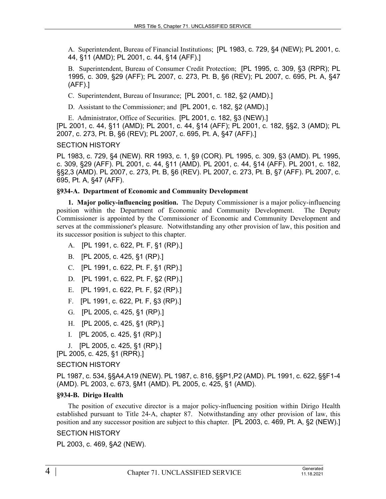A. Superintendent, Bureau of Financial Institutions; [PL 1983, c. 729, §4 (NEW); PL 2001, c. 44, §11 (AMD); PL 2001, c. 44, §14 (AFF).]

B. Superintendent, Bureau of Consumer Credit Protection; [PL 1995, c. 309, §3 (RPR); PL 1995, c. 309, §29 (AFF); PL 2007, c. 273, Pt. B, §6 (REV); PL 2007, c. 695, Pt. A, §47 (AFF).]

C. Superintendent, Bureau of Insurance; [PL 2001, c. 182, §2 (AMD).]

D. Assistant to the Commissioner; and [PL 2001, c. 182, §2 (AMD).]

E. Administrator, Office of Securities. [PL 2001, c. 182, §3 (NEW).] [PL 2001, c. 44, §11 (AMD); PL 2001, c. 44, §14 (AFF); PL 2001, c. 182, §§2, 3 (AMD); PL 2007, c. 273, Pt. B, §6 (REV); PL 2007, c. 695, Pt. A, §47 (AFF).]

## SECTION HISTORY

PL 1983, c. 729, §4 (NEW). RR 1993, c. 1, §9 (COR). PL 1995, c. 309, §3 (AMD). PL 1995, c. 309, §29 (AFF). PL 2001, c. 44, §11 (AMD). PL 2001, c. 44, §14 (AFF). PL 2001, c. 182, §§2,3 (AMD). PL 2007, c. 273, Pt. B, §6 (REV). PL 2007, c. 273, Pt. B, §7 (AFF). PL 2007, c. 695, Pt. A, §47 (AFF).

#### **§934-A. Department of Economic and Community Development**

**1. Major policy-influencing position.** The Deputy Commissioner is a major policy-influencing position within the Department of Economic and Community Development. The Deputy Commissioner is appointed by the Commissioner of Economic and Community Development and serves at the commissioner's pleasure. Notwithstanding any other provision of law, this position and its successor position is subject to this chapter.

- A. [PL 1991, c. 622, Pt. F, §1 (RP).]
- B. [PL 2005, c. 425, §1 (RP).]
- C. [PL 1991, c. 622, Pt. F, §1 (RP).]
- D. [PL 1991, c. 622, Pt. F, §2 (RP).]
- E. [PL 1991, c. 622, Pt. F, §2 (RP).]
- F. [PL 1991, c. 622, Pt. F, §3 (RP).]
- G. [PL 2005, c. 425, §1 (RP).]
- H. [PL 2005, c. 425, §1 (RP).]
- I. [PL 2005, c. 425, §1 (RP).]
- J. [PL 2005, c. 425, §1 (RP).]

[PL 2005, c. 425, §1 (RPR).]

## SECTION HISTORY

PL 1987, c. 534, §§A4,A19 (NEW). PL 1987, c. 816, §§P1,P2 (AMD). PL 1991, c. 622, §§F1-4 (AMD). PL 2003, c. 673, §M1 (AMD). PL 2005, c. 425, §1 (AMD).

## **§934-B. Dirigo Health**

The position of executive director is a major policy-influencing position within Dirigo Health established pursuant to Title 24‑A, chapter 87. Notwithstanding any other provision of law, this position and any successor position are subject to this chapter. [PL 2003, c. 469, Pt. A, §2 (NEW).]

## SECTION HISTORY

PL 2003, c. 469, §A2 (NEW).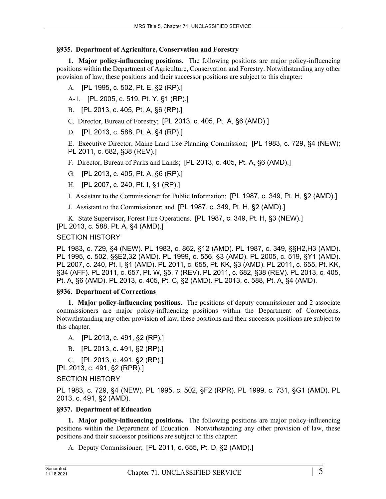## **§935. Department of Agriculture, Conservation and Forestry**

**1. Major policy-influencing positions.** The following positions are major policy-influencing positions within the Department of Agriculture, Conservation and Forestry. Notwithstanding any other provision of law, these positions and their successor positions are subject to this chapter:

- A. [PL 1995, c. 502, Pt. E, §2 (RP).]
- A-1. [PL 2005, c. 519, Pt. Y, §1 (RP).]
- B. [PL 2013, c. 405, Pt. A, §6 (RP).]
- C. Director, Bureau of Forestry; [PL 2013, c. 405, Pt. A, §6 (AMD).]
- D. [PL 2013, c. 588, Pt. A, §4 (RP).]

E. Executive Director, Maine Land Use Planning Commission; [PL 1983, c. 729, §4 (NEW); PL 2011, c. 682, §38 (REV).]

F. Director, Bureau of Parks and Lands; [PL 2013, c. 405, Pt. A, §6 (AMD).]

- G. [PL 2013, c. 405, Pt. A, §6 (RP).]
- H. [PL 2007, c. 240, Pt. I, §1 (RP).]
- I. Assistant to the Commissioner for Public Information; [PL 1987, c. 349, Pt. H, §2 (AMD).]
- J. Assistant to the Commissioner; and [PL 1987, c. 349, Pt. H, §2 (AMD).]

K. State Supervisor, Forest Fire Operations. [PL 1987, c. 349, Pt. H, §3 (NEW).]

[PL 2013, c. 588, Pt. A, §4 (AMD).]

## SECTION HISTORY

PL 1983, c. 729, §4 (NEW). PL 1983, c. 862, §12 (AMD). PL 1987, c. 349, §§H2,H3 (AMD). PL 1995, c. 502, §§E2,32 (AMD). PL 1999, c. 556, §3 (AMD). PL 2005, c. 519, §Y1 (AMD). PL 2007, c. 240, Pt. I, §1 (AMD). PL 2011, c. 655, Pt. KK, §3 (AMD). PL 2011, c. 655, Pt. KK, §34 (AFF). PL 2011, c. 657, Pt. W, §5, 7 (REV). PL 2011, c. 682, §38 (REV). PL 2013, c. 405, Pt. A, §6 (AMD). PL 2013, c. 405, Pt. C, §2 (AMD). PL 2013, c. 588, Pt. A, §4 (AMD).

## **§936. Department of Corrections**

**1. Major policy-influencing positions.** The positions of deputy commissioner and 2 associate commissioners are major policy-influencing positions within the Department of Corrections. Notwithstanding any other provision of law, these positions and their successor positions are subject to this chapter.

- A. [PL 2013, c. 491, §2 (RP).]
- B. [PL 2013, c. 491, §2 (RP).]
- C. [PL 2013, c. 491, §2 (RP).]

[PL 2013, c. 491, §2 (RPR).]

SECTION HISTORY

PL 1983, c. 729, §4 (NEW). PL 1995, c. 502, §F2 (RPR). PL 1999, c. 731, §G1 (AMD). PL 2013, c. 491, §2 (AMD).

## **§937. Department of Education**

**1. Major policy-influencing positions.** The following positions are major policy-influencing positions within the Department of Education. Notwithstanding any other provision of law, these positions and their successor positions are subject to this chapter:

A. Deputy Commissioner; [PL 2011, c. 655, Pt. D, §2 (AMD).]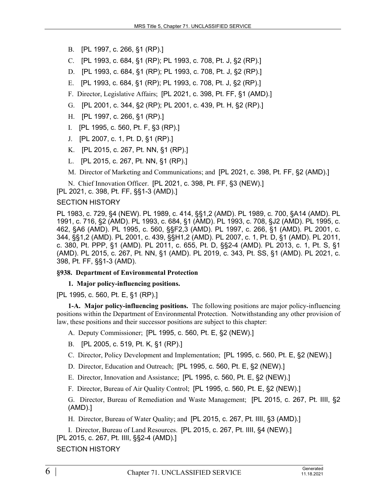B. [PL 1997, c. 266, §1 (RP).]

C. [PL 1993, c. 684, §1 (RP); PL 1993, c. 708, Pt. J, §2 (RP).]

D. [PL 1993, c. 684, §1 (RP); PL 1993, c. 708, Pt. J, §2 (RP).]

E. [PL 1993, c. 684, §1 (RP); PL 1993, c. 708, Pt. J, §2 (RP).]

F. Director, Legislative Affairs; [PL 2021, c. 398, Pt. FF, §1 (AMD).]

G. [PL 2001, c. 344, §2 (RP); PL 2001, c. 439, Pt. H, §2 (RP).]

H. [PL 1997, c. 266, §1 (RP).]

I. [PL 1995, c. 560, Pt. F, §3 (RP).]

J. [PL 2007, c. 1, Pt. D, §1 (RP).]

K. [PL 2015, c. 267, Pt. NN, §1 (RP).]

L. [PL 2015, c. 267, Pt. NN, §1 (RP).]

M. Director of Marketing and Communications; and [PL 2021, c. 398, Pt. FF, §2 (AMD).]

N. Chief Innovation Officer. [PL 2021, c. 398, Pt. FF, §3 (NEW).]

[PL 2021, c. 398, Pt. FF, §§1-3 (AMD).]

#### SECTION HISTORY

PL 1983, c. 729, §4 (NEW). PL 1989, c. 414, §§1,2 (AMD). PL 1989, c. 700, §A14 (AMD). PL 1991, c. 716, §2 (AMD). PL 1993, c. 684, §1 (AMD). PL 1993, c. 708, §J2 (AMD). PL 1995, c. 462, §A6 (AMD). PL 1995, c. 560, §§F2,3 (AMD). PL 1997, c. 266, §1 (AMD). PL 2001, c. 344, §§1,2 (AMD). PL 2001, c. 439, §§H1,2 (AMD). PL 2007, c. 1, Pt. D, §1 (AMD). PL 2011, c. 380, Pt. PPP, §1 (AMD). PL 2011, c. 655, Pt. D, §§2-4 (AMD). PL 2013, c. 1, Pt. S, §1 (AMD). PL 2015, c. 267, Pt. NN, §1 (AMD). PL 2019, c. 343, Pt. SS, §1 (AMD). PL 2021, c. 398, Pt. FF, §§1-3 (AMD).

#### **§938. Department of Environmental Protection**

**1. Major policy-influencing positions.** 

[PL 1995, c. 560, Pt. E, §1 (RP).]

**1-A. Major policy-influencing positions.** The following positions are major policy-influencing positions within the Department of Environmental Protection. Notwithstanding any other provision of law, these positions and their successor positions are subject to this chapter:

A. Deputy Commissioner; [PL 1995, c. 560, Pt. E, §2 (NEW).]

B. [PL 2005, c. 519, Pt. K, §1 (RP).]

C. Director, Policy Development and Implementation; [PL 1995, c. 560, Pt. E, §2 (NEW).]

- D. Director, Education and Outreach; [PL 1995, c. 560, Pt. E, §2 (NEW).]
- E. Director, Innovation and Assistance; [PL 1995, c. 560, Pt. E, §2 (NEW).]

F. Director, Bureau of Air Quality Control; [PL 1995, c. 560, Pt. E, §2 (NEW).]

G. Director, Bureau of Remediation and Waste Management; [PL 2015, c. 267, Pt. IIII, §2 (AMD).]

H. Director, Bureau of Water Quality; and [PL 2015, c. 267, Pt. IIII, §3 (AMD).]

I. Director, Bureau of Land Resources. [PL 2015, c. 267, Pt. IIII, §4 (NEW).] [PL 2015, c. 267, Pt. IIII, §§2-4 (AMD).]

SECTION HISTORY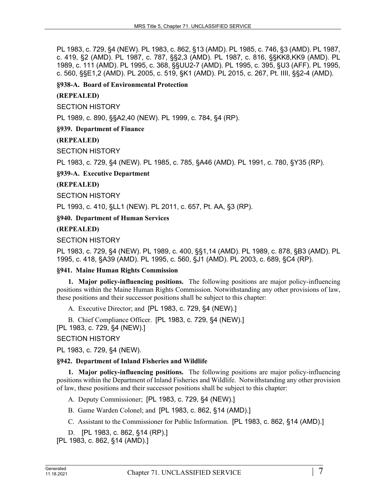PL 1983, c. 729, §4 (NEW). PL 1983, c. 862, §13 (AMD). PL 1985, c. 746, §3 (AMD). PL 1987, c. 419, §2 (AMD). PL 1987, c. 787, §§2,3 (AMD). PL 1987, c. 816, §§KK8,KK9 (AMD). PL 1989, c. 111 (AMD). PL 1995, c. 368, §§UU2-7 (AMD). PL 1995, c. 395, §U3 (AFF). PL 1995, c. 560, §§E1,2 (AMD). PL 2005, c. 519, §K1 (AMD). PL 2015, c. 267, Pt. IIII, §§2-4 (AMD).

**§938-A. Board of Environmental Protection**

## **(REPEALED)**

SECTION HISTORY

PL 1989, c. 890, §§A2,40 (NEW). PL 1999, c. 784, §4 (RP).

## **§939. Department of Finance**

## **(REPEALED)**

SECTION HISTORY

PL 1983, c. 729, §4 (NEW). PL 1985, c. 785, §A46 (AMD). PL 1991, c. 780, §Y35 (RP).

**§939-A. Executive Department**

## **(REPEALED)**

SECTION HISTORY

PL 1993, c. 410, §LL1 (NEW). PL 2011, c. 657, Pt. AA, §3 (RP).

**§940. Department of Human Services**

## **(REPEALED)**

## SECTION HISTORY

PL 1983, c. 729, §4 (NEW). PL 1989, c. 400, §§1,14 (AMD). PL 1989, c. 878, §B3 (AMD). PL 1995, c. 418, §A39 (AMD). PL 1995, c. 560, §J1 (AMD). PL 2003, c. 689, §C4 (RP).

#### **§941. Maine Human Rights Commission**

**1. Major policy-influencing positions.** The following positions are major policy-influencing positions within the Maine Human Rights Commission. Notwithstanding any other provisions of law, these positions and their successor positions shall be subject to this chapter:

A. Executive Director; and [PL 1983, c. 729, §4 (NEW).]

B. Chief Compliance Officer. [PL 1983, c. 729, §4 (NEW).] [PL 1983, c. 729, §4 (NEW).]

#### SECTION HISTORY

PL 1983, c. 729, §4 (NEW).

#### **§942. Department of Inland Fisheries and Wildlife**

**1. Major policy-influencing positions.** The following positions are major policy-influencing positions within the Department of Inland Fisheries and Wildlife. Notwithstanding any other provision of law, these positions and their successor positions shall be subject to this chapter:

A. Deputy Commissioner; [PL 1983, c. 729, §4 (NEW).]

B. Game Warden Colonel; and [PL 1983, c. 862, §14 (AMD).]

C. Assistant to the Commissioner for Public Information. [PL 1983, c. 862, §14 (AMD).]

D. [PL 1983, c. 862, §14 (RP).]

[PL 1983, c. 862, §14 (AMD).]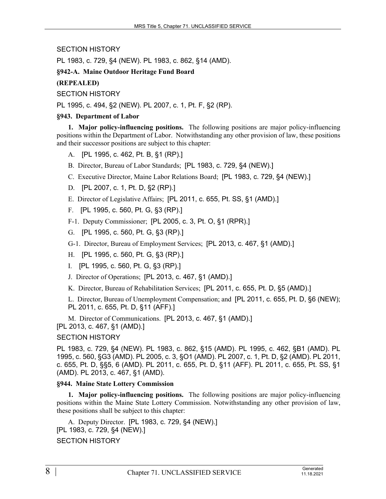SECTION HISTORY

PL 1983, c. 729, §4 (NEW). PL 1983, c. 862, §14 (AMD).

## **§942-A. Maine Outdoor Heritage Fund Board**

**(REPEALED)**

SECTION HISTORY

PL 1995, c. 494, §2 (NEW). PL 2007, c. 1, Pt. F, §2 (RP).

## **§943. Department of Labor**

**1. Major policy-influencing positions.** The following positions are major policy-influencing positions within the Department of Labor. Notwithstanding any other provision of law, these positions and their successor positions are subject to this chapter:

- A. [PL 1995, c. 462, Pt. B, §1 (RP).]
- B. Director, Bureau of Labor Standards; [PL 1983, c. 729, §4 (NEW).]
- C. Executive Director, Maine Labor Relations Board; [PL 1983, c. 729, §4 (NEW).]

D. [PL 2007, c. 1, Pt. D, §2 (RP).]

- E. Director of Legislative Affairs; [PL 2011, c. 655, Pt. SS, §1 (AMD).]
- F. [PL 1995, c. 560, Pt. G, §3 (RP).]
- F-1. Deputy Commissioner; [PL 2005, c. 3, Pt. O, §1 (RPR).]
- G. [PL 1995, c. 560, Pt. G, §3 (RP).]
- G-1. Director, Bureau of Employment Services; [PL 2013, c. 467, §1 (AMD).]
- H. [PL 1995, c. 560, Pt. G, §3 (RP).]
- I. [PL 1995, c. 560, Pt. G, §3 (RP).]
- J. Director of Operations; [PL 2013, c. 467, §1 (AMD).]
- K. Director, Bureau of Rehabilitation Services; [PL 2011, c. 655, Pt. D, §5 (AMD).]

L. Director, Bureau of Unemployment Compensation; and [PL 2011, c. 655, Pt. D, §6 (NEW); PL 2011, c. 655, Pt. D, §11 (AFF).]

M. Director of Communications. [PL 2013, c. 467, §1 (AMD).] [PL 2013, c. 467, §1 (AMD).]

## SECTION HISTORY

PL 1983, c. 729, §4 (NEW). PL 1983, c. 862, §15 (AMD). PL 1995, c. 462, §B1 (AMD). PL 1995, c. 560, §G3 (AMD). PL 2005, c. 3, §O1 (AMD). PL 2007, c. 1, Pt. D, §2 (AMD). PL 2011, c. 655, Pt. D, §§5, 6 (AMD). PL 2011, c. 655, Pt. D, §11 (AFF). PL 2011, c. 655, Pt. SS, §1 (AMD). PL 2013, c. 467, §1 (AMD).

## **§944. Maine State Lottery Commission**

**1. Major policy-influencing positions.** The following positions are major policy-influencing positions within the Maine State Lottery Commission. Notwithstanding any other provision of law, these positions shall be subject to this chapter:

A. Deputy Director. [PL 1983, c. 729, §4 (NEW).] [PL 1983, c. 729, §4 (NEW).] SECTION HISTORY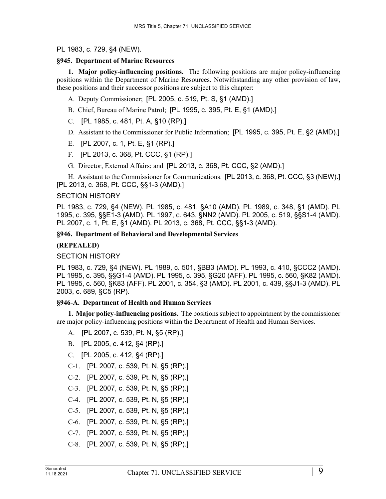#### PL 1983, c. 729, §4 (NEW).

#### **§945. Department of Marine Resources**

**1. Major policy-influencing positions.** The following positions are major policy-influencing positions within the Department of Marine Resources. Notwithstanding any other provision of law, these positions and their successor positions are subject to this chapter:

- A. Deputy Commissioner; [PL 2005, c. 519, Pt. S, §1 (AMD).]
- B. Chief, Bureau of Marine Patrol; [PL 1995, c. 395, Pt. E, §1 (AMD).]
- C. [PL 1985, c. 481, Pt. A, §10 (RP).]
- D. Assistant to the Commissioner for Public Information; [PL 1995, c. 395, Pt. E, §2 (AMD).]
- E. [PL 2007, c. 1, Pt. E, §1 (RP).]
- F. [PL 2013, c. 368, Pt. CCC, §1 (RP).]
- G. Director, External Affairs; and [PL 2013, c. 368, Pt. CCC, §2 (AMD).]

H. Assistant to the Commissioner for Communications. [PL 2013, c. 368, Pt. CCC, §3 (NEW).] [PL 2013, c. 368, Pt. CCC, §§1-3 (AMD).]

#### SECTION HISTORY

PL 1983, c. 729, §4 (NEW). PL 1985, c. 481, §A10 (AMD). PL 1989, c. 348, §1 (AMD). PL 1995, c. 395, §§E1-3 (AMD). PL 1997, c. 643, §NN2 (AMD). PL 2005, c. 519, §§S1-4 (AMD). PL 2007, c. 1, Pt. E, §1 (AMD). PL 2013, c. 368, Pt. CCC, §§1-3 (AMD).

#### **§946. Department of Behavioral and Developmental Services**

#### **(REPEALED)**

#### SECTION HISTORY

PL 1983, c. 729, §4 (NEW). PL 1989, c. 501, §BB3 (AMD). PL 1993, c. 410, §CCC2 (AMD). PL 1995, c. 395, §§G1-4 (AMD). PL 1995, c. 395, §G20 (AFF). PL 1995, c. 560, §K82 (AMD). PL 1995, c. 560, §K83 (AFF). PL 2001, c. 354, §3 (AMD). PL 2001, c. 439, §§J1-3 (AMD). PL 2003, c. 689, §C5 (RP).

#### **§946-A. Department of Health and Human Services**

**1. Major policy-influencing positions.** The positions subject to appointment by the commissioner are major policy-influencing positions within the Department of Health and Human Services.

- A. [PL 2007, c. 539, Pt. N, §5 (RP).]
- B. [PL 2005, c. 412, §4 (RP).]
- C. [PL 2005, c. 412, §4 (RP).]
- C-1. [PL 2007, c. 539, Pt. N, §5 (RP).]
- C-2. [PL 2007, c. 539, Pt. N, §5 (RP).]
- C-3. [PL 2007, c. 539, Pt. N, §5 (RP).]
- C-4. [PL 2007, c. 539, Pt. N, §5 (RP).]
- C-5. [PL 2007, c. 539, Pt. N, §5 (RP).]
- C-6. [PL 2007, c. 539, Pt. N, §5 (RP).]
- C-7. [PL 2007, c. 539, Pt. N, §5 (RP).]
- C-8. [PL 2007, c. 539, Pt. N, §5 (RP).]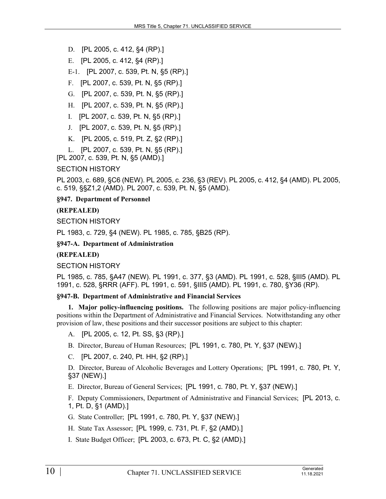D. [PL 2005, c. 412, §4 (RP).]

E. [PL 2005, c. 412, §4 (RP).]

E-1. [PL 2007, c. 539, Pt. N, §5 (RP).]

- F. [PL 2007, c. 539, Pt. N, §5 (RP).]
- G. [PL 2007, c. 539, Pt. N, §5 (RP).]
- H. [PL 2007, c. 539, Pt. N, §5 (RP).]
- I. [PL 2007, c. 539, Pt. N, §5 (RP).]
- J. [PL 2007, c. 539, Pt. N, §5 (RP).]
- K. [PL 2005, c. 519, Pt. Z, §2 (RP).]
- L. [PL 2007, c. 539, Pt. N, §5 (RP).]

[PL 2007, c. 539, Pt. N, §5 (AMD).]

## SECTION HISTORY

PL 2003, c. 689, §C6 (NEW). PL 2005, c. 236, §3 (REV). PL 2005, c. 412, §4 (AMD). PL 2005, c. 519, §§Z1,2 (AMD). PL 2007, c. 539, Pt. N, §5 (AMD).

**§947. Department of Personnel**

## **(REPEALED)**

SECTION HISTORY

PL 1983, c. 729, §4 (NEW). PL 1985, c. 785, §B25 (RP).

## **§947-A. Department of Administration**

## **(REPEALED)**

SECTION HISTORY

PL 1985, c. 785, §A47 (NEW). PL 1991, c. 377, §3 (AMD). PL 1991, c. 528, §III5 (AMD). PL 1991, c. 528, §RRR (AFF). PL 1991, c. 591, §III5 (AMD). PL 1991, c. 780, §Y36 (RP).

#### **§947-B. Department of Administrative and Financial Services**

**1. Major policy-influencing positions.** The following positions are major policy-influencing positions within the Department of Administrative and Financial Services. Notwithstanding any other provision of law, these positions and their successor positions are subject to this chapter:

A. [PL 2005, c. 12, Pt. SS, §3 (RP).]

- B. Director, Bureau of Human Resources; [PL 1991, c. 780, Pt. Y, §37 (NEW).]
- C. [PL 2007, c. 240, Pt. HH, §2 (RP).]

D. Director, Bureau of Alcoholic Beverages and Lottery Operations; [PL 1991, c. 780, Pt. Y, §37 (NEW).]

E. Director, Bureau of General Services; [PL 1991, c. 780, Pt. Y, §37 (NEW).]

F. Deputy Commissioners, Department of Administrative and Financial Services; [PL 2013, c. 1, Pt. D, §1 (AMD).]

G. State Controller; [PL 1991, c. 780, Pt. Y, §37 (NEW).]

H. State Tax Assessor; [PL 1999, c. 731, Pt. F, §2 (AMD).]

I. State Budget Officer; [PL 2003, c. 673, Pt. C, §2 (AMD).]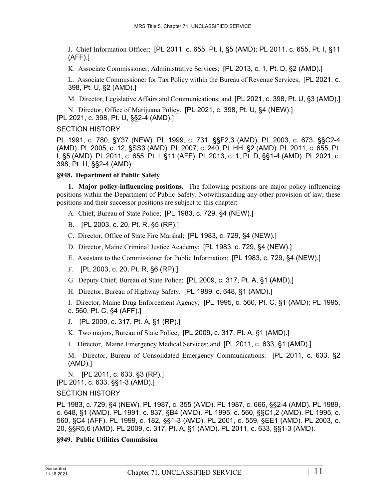J. Chief Information Officer; [PL 2011, c. 655, Pt. I, §5 (AMD); PL 2011, c. 655, Pt. I, §11 (AFF).]

K. Associate Commissioner, Administrative Services; [PL 2013, c. 1, Pt. D, §2 (AMD).]

L. Associate Commissioner for Tax Policy within the Bureau of Revenue Services; [PL 2021, c. 398, Pt. U, §2 (AMD).]

M. Director, Legislative Affairs and Communications; and [PL 2021, c. 398, Pt. U, §3 (AMD).]

N. Director, Office of Marijuana Policy. [PL 2021, c. 398, Pt. U, §4 (NEW).] [PL 2021, c. 398, Pt. U, §§2-4 (AMD).]

## SECTION HISTORY

PL 1991, c. 780, §Y37 (NEW). PL 1999, c. 731, §§F2,3 (AMD). PL 2003, c. 673, §§C2-4 (AMD). PL 2005, c. 12, §SS3 (AMD). PL 2007, c. 240, Pt. HH, §2 (AMD). PL 2011, c. 655, Pt. I, §5 (AMD). PL 2011, c. 655, Pt. I, §11 (AFF). PL 2013, c. 1, Pt. D, §§1-4 (AMD). PL 2021, c. 398, Pt. U, §§2-4 (AMD).

## **§948. Department of Public Safety**

**1. Major policy-influencing positions.** The following positions are major policy-influencing positions within the Department of Public Safety. Notwithstanding any other provision of law, these positions and their successor positions are subject to this chapter:

A. Chief, Bureau of State Police; [PL 1983, c. 729, §4 (NEW).]

B. [PL 2003, c. 20, Pt. R, §5 (RP).]

C. Director, Office of State Fire Marshal; [PL 1983, c. 729, §4 (NEW).]

D. Director, Maine Criminal Justice Academy; [PL 1983, c. 729, §4 (NEW).]

E. Assistant to the Commissioner for Public Information; [PL 1983, c. 729, §4 (NEW).]

F. [PL 2003, c. 20, Pt. R, §6 (RP).]

G. Deputy Chief, Bureau of State Police; [PL 2009, c. 317, Pt. A, §1 (AMD).]

H. Director, Bureau of Highway Safety; [PL 1989, c. 648, §1 (AMD).]

I. Director, Maine Drug Enforcement Agency; [PL 1995, c. 560, Pt. C, §1 (AMD); PL 1995, c. 560, Pt. C, §4 (AFF).]

J. [PL 2009, c. 317, Pt. A, §1 (RP).]

K. Two majors, Bureau of State Police; [PL 2009, c. 317, Pt. A, §1 (AMD).]

L. Director, Maine Emergency Medical Services; and [PL 2011, c. 633, §1 (AMD).]

M. Director, Bureau of Consolidated Emergency Communications. [PL 2011, c. 633, §2 (AMD).]

N. [PL 2011, c. 633, §3 (RP).]

[PL 2011, c. 633, §§1-3 (AMD).]

## SECTION HISTORY

PL 1983, c. 729, §4 (NEW). PL 1987, c. 355 (AMD). PL 1987, c. 666, §§2-4 (AMD). PL 1989, c. 648, §1 (AMD). PL 1991, c. 837, §B4 (AMD). PL 1995, c. 560, §§C1,2 (AMD). PL 1995, c. 560, §C4 (AFF). PL 1999, c. 182, §§1-3 (AMD). PL 2001, c. 559, §EE1 (AMD). PL 2003, c. 20, §§R5,6 (AMD). PL 2009, c. 317, Pt. A, §1 (AMD). PL 2011, c. 633, §§1-3 (AMD).

## **§949. Public Utilities Commission**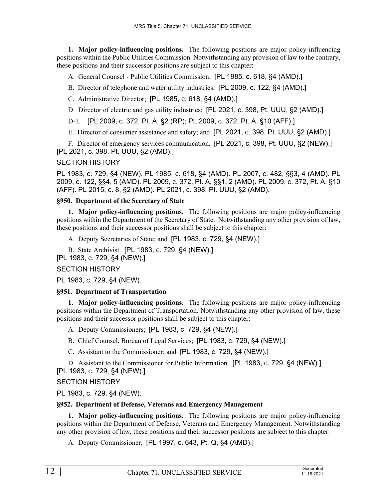**1. Major policy-influencing positions.** The following positions are major policy-influencing positions within the Public Utilities Commission. Notwithstanding any provision of law to the contrary, these positions and their successor positions are subject to this chapter:

A. General Counsel - Public Utilities Commission; [PL 1985, c. 618, §4 (AMD).]

B. Director of telephone and water utility industries; [PL 2009, c. 122, §4 (AMD).]

C. Administrative Director; [PL 1985, c. 618, §4 (AMD).]

D. Director of electric and gas utility industries; [PL 2021, c. 398, Pt. UUU, §2 (AMD).]

D-1. [PL 2009, c. 372, Pt. A, §2 (RP); PL 2009, c. 372, Pt. A, §10 (AFF).]

E. Director of consumer assistance and safety; and [PL 2021, c. 398, Pt. UUU, §2 (AMD).]

F. Director of emergency services communication. [PL 2021, c. 398, Pt. UUU, §2 (NEW).] [PL 2021, c. 398, Pt. UUU, §2 (AMD).]

## SECTION HISTORY

PL 1983, c. 729, §4 (NEW). PL 1985, c. 618, §4 (AMD). PL 2007, c. 482, §§3, 4 (AMD). PL 2009, c. 122, §§4, 5 (AMD). PL 2009, c. 372, Pt. A, §§1, 2 (AMD). PL 2009, c. 372, Pt. A, §10 (AFF). PL 2015, c. 8, §2 (AMD). PL 2021, c. 398, Pt. UUU, §2 (AMD).

## **§950. Department of the Secretary of State**

**1. Major policy-influencing positions.** The following positions are major policy-influencing positions within the Department of the Secretary of State. Notwithstanding any other provision of law, these positions and their successor positions shall be subject to this chapter:

A. Deputy Secretaries of State; and [PL 1983, c. 729, §4 (NEW).]

B. State Archivist. [PL 1983, c. 729, §4 (NEW).]

[PL 1983, c. 729, §4 (NEW).]

## SECTION HISTORY

PL 1983, c. 729, §4 (NEW).

#### **§951. Department of Transportation**

**1. Major policy-influencing positions.** The following positions are major policy-influencing positions within the Department of Transportation. Notwithstanding any other provision of law, these positions and their successor positions shall be subject to this chapter:

A. Deputy Commissioners; [PL 1983, c. 729, §4 (NEW).]

B. Chief Counsel, Bureau of Legal Services; [PL 1983, c. 729, §4 (NEW).]

C. Assistant to the Commissioner; and [PL 1983, c. 729, §4 (NEW).]

D. Assistant to the Commissioner for Public Information. [PL 1983, c. 729, §4 (NEW).] [PL 1983, c. 729, §4 (NEW).]

## SECTION HISTORY

PL 1983, c. 729, §4 (NEW).

#### **§952. Department of Defense, Veterans and Emergency Management**

**1. Major policy-influencing positions.** The following positions are major policy-influencing positions within the Department of Defense, Veterans and Emergency Management. Notwithstanding any other provision of law, these positions and their successor positions are subject to this chapter:

A. Deputy Commissioner; [PL 1997, c. 643, Pt. Q, §4 (AMD).]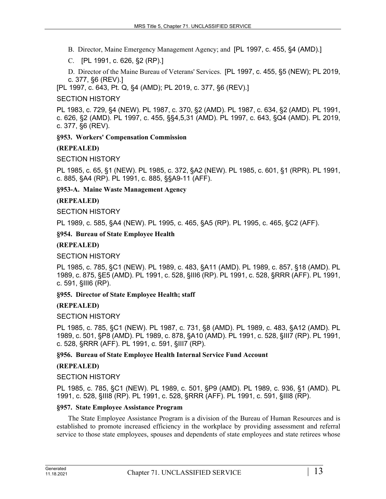B. Director, Maine Emergency Management Agency; and [PL 1997, c. 455, §4 (AMD).]

C. [PL 1991, c. 626, §2 (RP).]

D. Director of the Maine Bureau of Veterans' Services. [PL 1997, c. 455, §5 (NEW); PL 2019, c. 377, §6 (REV).]

[PL 1997, c. 643, Pt. Q, §4 (AMD); PL 2019, c. 377, §6 (REV).]

## SECTION HISTORY

PL 1983, c. 729, §4 (NEW). PL 1987, c. 370, §2 (AMD). PL 1987, c. 634, §2 (AMD). PL 1991, c. 626, §2 (AMD). PL 1997, c. 455, §§4,5,31 (AMD). PL 1997, c. 643, §Q4 (AMD). PL 2019, c. 377, §6 (REV).

## **§953. Workers' Compensation Commission**

## **(REPEALED)**

SECTION HISTORY

PL 1985, c. 65, §1 (NEW). PL 1985, c. 372, §A2 (NEW). PL 1985, c. 601, §1 (RPR). PL 1991, c. 885, §A4 (RP). PL 1991, c. 885, §§A9-11 (AFF).

**§953-A. Maine Waste Management Agency**

## **(REPEALED)**

SECTION HISTORY

PL 1989, c. 585, §A4 (NEW). PL 1995, c. 465, §A5 (RP). PL 1995, c. 465, §C2 (AFF).

**§954. Bureau of State Employee Health**

#### **(REPEALED)**

SECTION HISTORY

PL 1985, c. 785, §C1 (NEW). PL 1989, c. 483, §A11 (AMD). PL 1989, c. 857, §18 (AMD). PL 1989, c. 875, §E5 (AMD). PL 1991, c. 528, §III6 (RP). PL 1991, c. 528, §RRR (AFF). PL 1991, c. 591, §III6 (RP).

#### **§955. Director of State Employee Health; staff**

#### **(REPEALED)**

SECTION HISTORY

PL 1985, c. 785, §C1 (NEW). PL 1987, c. 731, §8 (AMD). PL 1989, c. 483, §A12 (AMD). PL 1989, c. 501, §P8 (AMD). PL 1989, c. 878, §A10 (AMD). PL 1991, c. 528, §III7 (RP). PL 1991, c. 528, §RRR (AFF). PL 1991, c. 591, §III7 (RP).

#### **§956. Bureau of State Employee Health Internal Service Fund Account**

#### **(REPEALED)**

SECTION HISTORY

PL 1985, c. 785, §C1 (NEW). PL 1989, c. 501, §P9 (AMD). PL 1989, c. 936, §1 (AMD). PL 1991, c. 528, §III8 (RP). PL 1991, c. 528, §RRR (AFF). PL 1991, c. 591, §III8 (RP).

#### **§957. State Employee Assistance Program**

The State Employee Assistance Program is a division of the Bureau of Human Resources and is established to promote increased efficiency in the workplace by providing assessment and referral service to those state employees, spouses and dependents of state employees and state retirees whose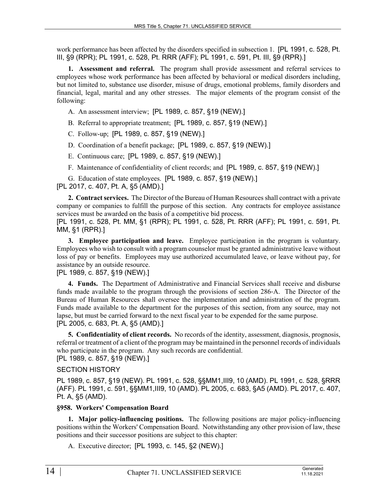work performance has been affected by the disorders specified in subsection 1. [PL 1991, c. 528, Pt. III, §9 (RPR); PL 1991, c. 528, Pt. RRR (AFF); PL 1991, c. 591, Pt. III, §9 (RPR).]

**1. Assessment and referral.** The program shall provide assessment and referral services to employees whose work performance has been affected by behavioral or medical disorders including, but not limited to, substance use disorder, misuse of drugs, emotional problems, family disorders and financial, legal, marital and any other stresses. The major elements of the program consist of the following:

A. An assessment interview; [PL 1989, c. 857, §19 (NEW).]

B. Referral to appropriate treatment; [PL 1989, c. 857, §19 (NEW).]

C. Follow-up; [PL 1989, c. 857, §19 (NEW).]

D. Coordination of a benefit package; [PL 1989, c. 857, §19 (NEW).]

E. Continuous care; [PL 1989, c. 857, §19 (NEW).]

F. Maintenance of confidentiality of client records; and [PL 1989, c. 857, §19 (NEW).]

G. Education of state employees. [PL 1989, c. 857, §19 (NEW).] [PL 2017, c. 407, Pt. A, §5 (AMD).]

**2. Contract services.** The Director of the Bureau of Human Resources shall contract with a private company or companies to fulfill the purpose of this section. Any contracts for employee assistance services must be awarded on the basis of a competitive bid process.

[PL 1991, c. 528, Pt. MM, §1 (RPR); PL 1991, c. 528, Pt. RRR (AFF); PL 1991, c. 591, Pt. MM, §1 (RPR).]

**3. Employee participation and leave.** Employee participation in the program is voluntary. Employees who wish to consult with a program counselor must be granted administrative leave without loss of pay or benefits. Employees may use authorized accumulated leave, or leave without pay, for assistance by an outside resource.

[PL 1989, c. 857, §19 (NEW).]

**4. Funds.** The Department of Administrative and Financial Services shall receive and disburse funds made available to the program through the provisions of section 286–A. The Director of the Bureau of Human Resources shall oversee the implementation and administration of the program. Funds made available to the department for the purposes of this section, from any source, may not lapse, but must be carried forward to the next fiscal year to be expended for the same purpose. [PL 2005, c. 683, Pt. A, §5 (AMD).]

**5. Confidentiality of client records.** No records of the identity, assessment, diagnosis, prognosis, referral or treatment of a client of the program may be maintained in the personnel records of individuals who participate in the program. Any such records are confidential. [PL 1989, c. 857, §19 (NEW).]

#### SECTION HISTORY

PL 1989, c. 857, §19 (NEW). PL 1991, c. 528, §§MM1,III9, 10 (AMD). PL 1991, c. 528, §RRR (AFF). PL 1991, c. 591, §§MM1,III9, 10 (AMD). PL 2005, c. 683, §A5 (AMD). PL 2017, c. 407, Pt. A, §5 (AMD).

#### **§958. Workers' Compensation Board**

**1. Major policy-influencing positions.** The following positions are major policy-influencing positions within the Workers' Compensation Board. Notwithstanding any other provision of law, these positions and their successor positions are subject to this chapter:

A. Executive director; [PL 1993, c. 145, §2 (NEW).]